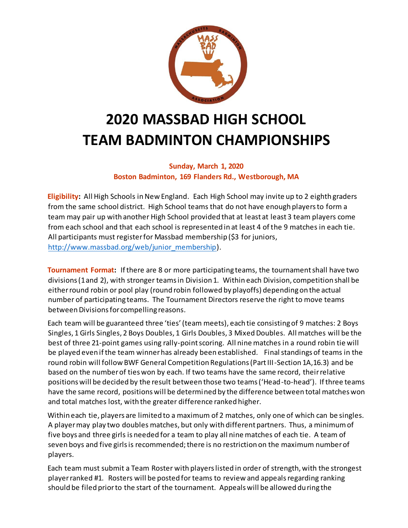

# **2020 MASSBAD HIGH SCHOOL TEAM BADMINTON CHAMPIONSHIPS**

#### **Sunday, March 1, 2020 Boston Badminton, 169 Flanders Rd., Westborough, MA**

**Eligibility:** All High Schools in New England. Each High School may invite up to 2 eighth graders from the same school district. High School teams that do not have enough players to form a team may pair up with another High School provided that at least at least 3 team players come from each school and that each school is represented in at least 4 of the 9 matches in each tie. All participants must register for Massbad membership (\$3 for juniors, http://www.massbad.org/web/junior\_membership).

**Tournament Format:** If there are 8 or more participating teams, the tournament shall have two divisions (1 and 2), with stronger teams in Division 1. Within each Division, competition shall be either round robin or pool play (round robin followed by playoffs) depending on the actual number of participating teams. The Tournament Directors reserve the right to move teams between Divisions for compelling reasons*.*

Each team will be guaranteed three 'ties' (team meets), each tie consisting of 9 matches: 2 Boys Singles, 1 Girls Singles, 2 Boys Doubles, 1 Girls Doubles, 3 Mixed Doubles. All matches will be the best of three 21-point games using rally-point scoring. All nine matches in a round robin tie will be played even if the team winner has already been established. Final standings of teams in the round robin will follow BWF General Competition Regulations (Part III-Section 1A,16.3) and be based on the number of ties won by each. If two teams have the same record, their relative positions will be decided by the result between those two teams ('Head-to-head'). If three teams have the same record, positions will be determined by the difference between total matches won and total matches lost, with the greater difference ranked higher.

Within each tie, players are limited to a maximum of 2 matches, only one of which can be singles. A player may play two doubles matches, but only with different partners. Thus, a minimum of five boys and three girls is needed for a team to play all nine matches of each tie. A team of seven boys and five girls is recommended; there is no restriction on the maximum number of players.

Each team must submit a Team Roster with players listed in order of strength, with the strongest player ranked #1. Rosters will be posted for teams to review and appeals regarding ranking should be filed prior to the start of the tournament. Appeals will be allowed during the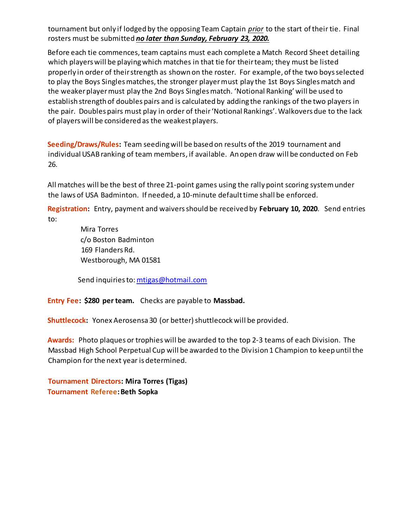tournament but only if lodged by the opposing Team Captain *prior* to the start of their tie. Final rosters must be submitted *no later than Sunday, February 23, 2020.*

Before each tie commences, team captains must each complete a Match Record Sheet detailing which players will be playing which matches in that tie for their team; they must be listed properly in order of their strength as shown on the roster. For example, of the two boys selected to play the Boys Singles matches, the stronger player must play the 1st Boys Singles match and the weaker player must play the 2nd Boys Singles match. 'Notional Ranking' will be used to establish strength of doubles pairs and is calculated by adding the rankings of the two players in the pair. Doubles pairs must play in order of their 'Notional Rankings'. Walkovers due to the lack of players will be considered as the weakest players.

**Seeding/Draws/Rules:** Team seeding will be based on results of the 2019 tournament and individual USAB ranking of team members, if available. An open draw will be conducted on Feb 26.

All matches will be the best of three 21-point games using the rally point scoring system under the laws of USA Badminton. If needed, a 10-minute default time shall be enforced.

**Registration:** Entry, payment and waivers should be received by **February 10, 2020**. Send entries to:

> Mira Torres c/o Boston Badminton 169 Flanders Rd. Westborough, MA 01581

Send inquiries to: mtigas@hotmail.com

**Entry Fee: \$280 per team.** Checks are payable to **Massbad.**

**Shuttlecock:** Yonex Aerosensa 30 (or better) shuttlecock will be provided.

**Awards:** Photo plaques or trophies will be awarded to the top 2-3 teams of each Division. The Massbad High School Perpetual Cup will be awarded to the Division 1 Champion to keep until the Champion for the next year is determined.

**Tournament Directors: Mira Torres (Tigas) Tournament Referee: Beth Sopka**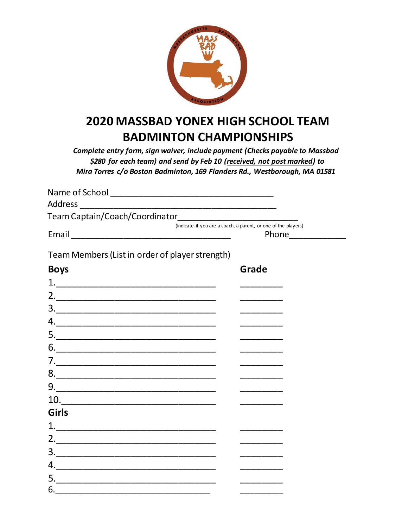

## **2020 MASSBAD YONEX HIGH SCHOOL TEAM BADMINTON CHAMPIONSHIPS**

*Complete entry form, sign waiver, include payment (Checks payable to Massbad \$280 for each team) and send by Feb 10 (received, not post marked) to Mira Torres c/o Boston Badminton, 169 Flanders Rd., Westborough, MA 01581*

|                                                       | (indicate if you are a coach, a parent, or one of the players)<br>Phone_____________ |  |  |  |  |
|-------------------------------------------------------|--------------------------------------------------------------------------------------|--|--|--|--|
|                                                       |                                                                                      |  |  |  |  |
| Team Members (List in order of player strength)       |                                                                                      |  |  |  |  |
| <b>Boys</b>                                           | Grade                                                                                |  |  |  |  |
|                                                       |                                                                                      |  |  |  |  |
|                                                       |                                                                                      |  |  |  |  |
|                                                       |                                                                                      |  |  |  |  |
|                                                       |                                                                                      |  |  |  |  |
|                                                       |                                                                                      |  |  |  |  |
| 6.                                                    |                                                                                      |  |  |  |  |
|                                                       |                                                                                      |  |  |  |  |
|                                                       |                                                                                      |  |  |  |  |
|                                                       |                                                                                      |  |  |  |  |
| $\begin{array}{c}\n10.\n\end{array}$                  |                                                                                      |  |  |  |  |
| <b>Girls</b>                                          |                                                                                      |  |  |  |  |
|                                                       |                                                                                      |  |  |  |  |
|                                                       |                                                                                      |  |  |  |  |
|                                                       |                                                                                      |  |  |  |  |
|                                                       |                                                                                      |  |  |  |  |
|                                                       |                                                                                      |  |  |  |  |
| $\overline{\phantom{a}}$ and $\overline{\phantom{a}}$ |                                                                                      |  |  |  |  |